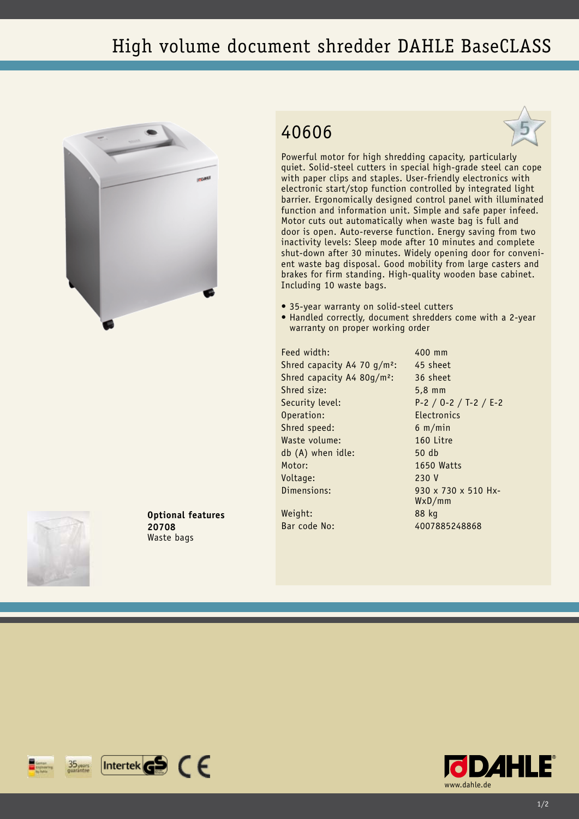## High volume document shredder DAHLE BaseCLASS



## 40606



Powerful motor for high shredding capacity, particularly quiet. Solid-steel cutters in special high-grade steel can cope with paper clips and staples. User-friendly electronics with electronic start/stop function controlled by integrated light barrier. Ergonomically designed control panel with illuminated function and information unit. Simple and safe paper infeed. Motor cuts out automatically when waste bag is full and door is open. Auto-reverse function. Energy saving from two inactivity levels: Sleep mode after 10 minutes and complete shut-down after 30 minutes. Widely opening door for convenient waste bag disposal. Good mobility from large casters and brakes for firm standing. High-quality wooden base cabinet. Including 10 waste bags.

- 35-year warranty on solid-steel cutters
- Handled correctly, document shredders come with a 2-year warranty on proper working order

Feed width: 400 mm Shred capacity A4 70  $q/m^2$ : 45 sheet Shred capacity A4 80g/m²: 36 sheet Shred size: 5,8 mm Security level: P-2 / O-2 / T-2 / E-2 Operation: Electronics Shred speed: 6 m/min Waste volume: 160 Litre db (A) when idle: 50 db Motor: 1650 Watts Voltage: 230 V Dimensions: 930 x 730 x 510 Hx-

WxD/mm

Weight: 88 kg Bar code No: 4007885248868



**Optional features 20708** Waste bags

 $[$ Intertek $\mathbf{G}$  $\mathbf{S}$   $\in$   $\in$